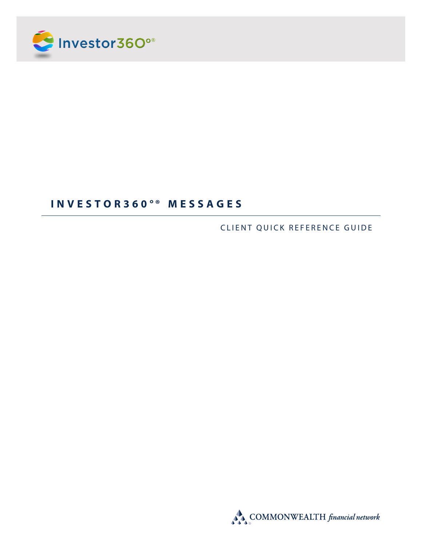

# **I N V E S T O R 360°® M E S S A G E S**

CLIENT QUICK REFERENCE GUIDE

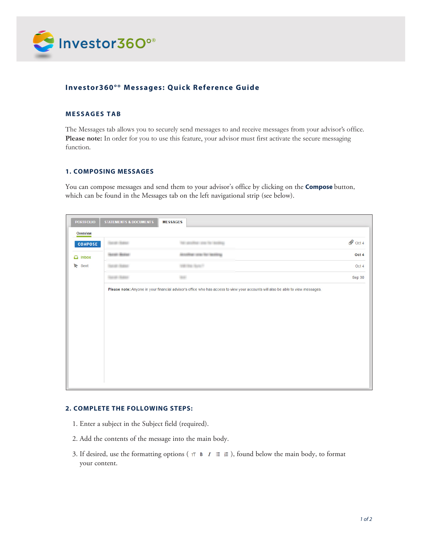

## **Investor360°® Messages: Quick Reference Guide**

### **MESSAGES TAB**

The Messages tab allows you to securely send messages to and receive messages from your advisor's office. Please note: In order for you to use this feature, your advisor must first activate the secure messaging function.

#### **1. COMPOSING MESSAGES**

You can compose messages and send them to your advisor's office by clicking on the **Compose** button, which can be found in the Messages tab on the left navigational strip (see below).

| Overview                   |                 |                                                                                                                                 |                    |
|----------------------------|-----------------|---------------------------------------------------------------------------------------------------------------------------------|--------------------|
| <b>COMPOSE</b>             | HAVEN (HANG)    | THE LIBERATURE COUNTY OF CHARITING                                                                                              | $\mathscr Q$ Oct 4 |
| $\Box$ Inbox<br>Sent<br>r. | HAND (BANK)     | NUMBER (INTO THE SERVICE)                                                                                                       | Oct 4              |
|                            | HELER (TERRIC   | AND AND RELEASE                                                                                                                 | Oct 4              |
|                            | TEATER (TEATER) | <b>BRE</b>                                                                                                                      | Sep 30             |
|                            |                 | Please note: Anyone in your financial advisor's office who has access to view your accounts will also be able to view messages. |                    |
|                            |                 |                                                                                                                                 |                    |
|                            |                 |                                                                                                                                 |                    |

#### **2. COMPLETE THE FOLLOWING STEPS:**

- 1. Enter a subject in the Subject field (required).
- 2. Add the contents of the message into the main body.
- 3. If desired, use the formatting options ( $\tau \tau \mathbf{B} \mid I \equiv \varepsilon$ ), found below the main body, to format your content.